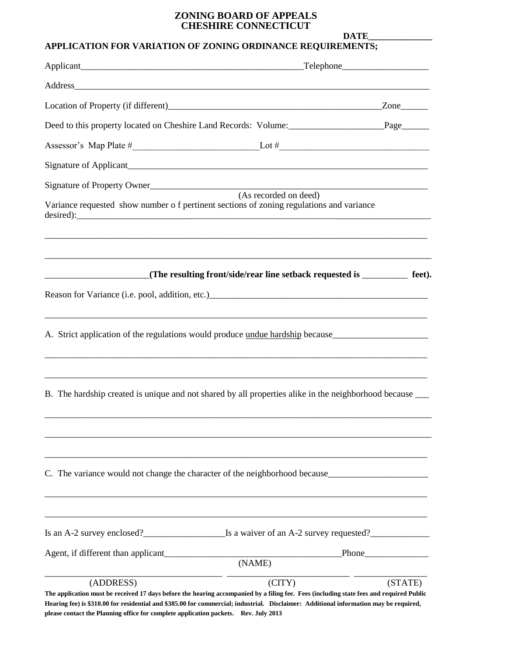## **ZONING BOARD OF APPEALS CHESHIRE CONNECTICUT**

**DATE\_\_\_\_\_\_\_\_\_\_\_\_\_\_**

## **APPLICATION FOR VARIATION OF ZONING ORDINANCE REQUIREMENTS;**

|                                                                                     | $\text{Telephone}$                                                                                                                                                                                                                                                               |         |
|-------------------------------------------------------------------------------------|----------------------------------------------------------------------------------------------------------------------------------------------------------------------------------------------------------------------------------------------------------------------------------|---------|
|                                                                                     |                                                                                                                                                                                                                                                                                  |         |
|                                                                                     |                                                                                                                                                                                                                                                                                  |         |
|                                                                                     | Deed to this property located on Cheshire Land Records: Volume: Page                                                                                                                                                                                                             |         |
|                                                                                     |                                                                                                                                                                                                                                                                                  |         |
|                                                                                     |                                                                                                                                                                                                                                                                                  |         |
|                                                                                     | Signature of Property Owner<br>(As recorded on deed)                                                                                                                                                                                                                             |         |
|                                                                                     | Variance requested show number of pertinent sections of zoning regulations and variance                                                                                                                                                                                          |         |
|                                                                                     | (The resulting front/side/rear line setback requested is __________ feet).                                                                                                                                                                                                       |         |
|                                                                                     | A. Strict application of the regulations would produce undue hardship because_______________________                                                                                                                                                                             |         |
|                                                                                     | B. The hardship created is unique and not shared by all properties alike in the neighborhood because ____                                                                                                                                                                        |         |
|                                                                                     | C. The variance would not change the character of the neighborhood because                                                                                                                                                                                                       |         |
|                                                                                     | Is an A-2 survey enclosed?<br><u>Is a waiver of an A-2 survey requested?</u>                                                                                                                                                                                                     |         |
| Agent, if different than applicant                                                  | (NAME)                                                                                                                                                                                                                                                                           |         |
| (ADDRESS)                                                                           | (CITY)                                                                                                                                                                                                                                                                           | (STATE) |
| please contact the Planning office for complete application packets. Rev. July 2013 | The application must be received 17 days before the hearing accompanied by a filing fee. Fees (including state fees and required Public<br>Hearing fee) is \$310.00 for residential and \$385.00 for commercial; industrial. Disclaimer: Additional information may be required, |         |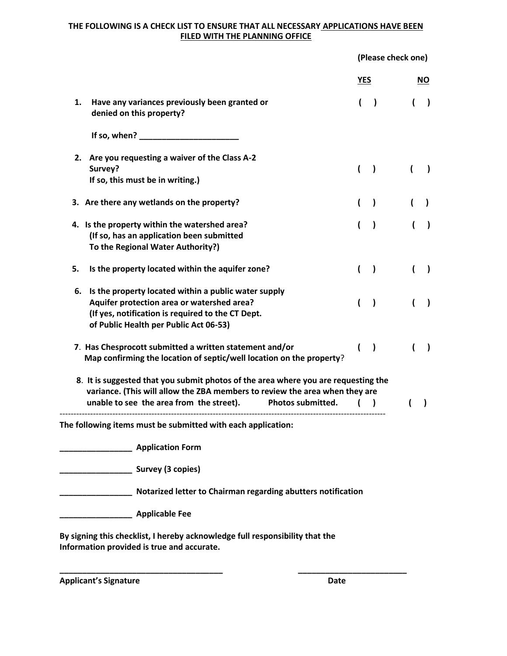## **THE FOLLOWING IS A CHECK LIST TO ENSURE THAT ALL NECESSARY APPLICATIONS HAVE BEEN FILED WITH THE PLANNING OFFICE**

**(Please check one)**

|                                                                                                                                                                                                                                    | <b>YES</b>     |                | NO.          |
|------------------------------------------------------------------------------------------------------------------------------------------------------------------------------------------------------------------------------------|----------------|----------------|--------------|
| Have any variances previously been granted or<br>1.<br>denied on this property?                                                                                                                                                    | $\overline{ }$ | $\overline{ }$ |              |
| If so, when? $\sqrt{ }$                                                                                                                                                                                                            |                |                |              |
| 2. Are you requesting a waiver of the Class A-2<br>Survey?<br>If so, this must be in writing.)                                                                                                                                     |                |                |              |
| 3. Are there any wetlands on the property?                                                                                                                                                                                         |                |                |              |
| 4. Is the property within the watershed area?<br>(If so, has an application been submitted<br>To the Regional Water Authority?)                                                                                                    |                |                |              |
| 5.<br>Is the property located within the aquifer zone?                                                                                                                                                                             |                |                |              |
| Is the property located within a public water supply<br>6.<br>Aquifer protection area or watershed area?<br>(If yes, notification is required to the CT Dept.<br>of Public Health per Public Act 06-53)                            |                |                |              |
| 7. Has Chesprocott submitted a written statement and/or<br>Map confirming the location of septic/well location on the property?                                                                                                    |                |                |              |
| 8. It is suggested that you submit photos of the area where you are requesting the<br>variance. (This will allow the ZBA members to review the area when they are<br>Photos submitted.<br>unable to see the area from the street). |                |                | $\mathbf{I}$ |
| The following items must be submitted with each application:                                                                                                                                                                       |                |                |              |
| <b>Application Form</b>                                                                                                                                                                                                            |                |                |              |
| Survey (3 copies)                                                                                                                                                                                                                  |                |                |              |
| Notarized letter to Chairman regarding abutters notification                                                                                                                                                                       |                |                |              |
| <b>Applicable Fee</b>                                                                                                                                                                                                              |                |                |              |
| By signing this checklist, I hereby acknowledge full responsibility that the<br>Information provided is true and accurate.                                                                                                         |                |                |              |

**\_\_\_\_\_\_\_\_\_\_\_\_\_\_\_\_\_\_\_\_\_\_\_\_\_\_\_\_\_\_\_\_\_\_\_\_ \_\_\_\_\_\_\_\_\_\_\_\_\_\_\_\_\_\_\_\_\_\_\_\_**

**Applicant's Signature Date**